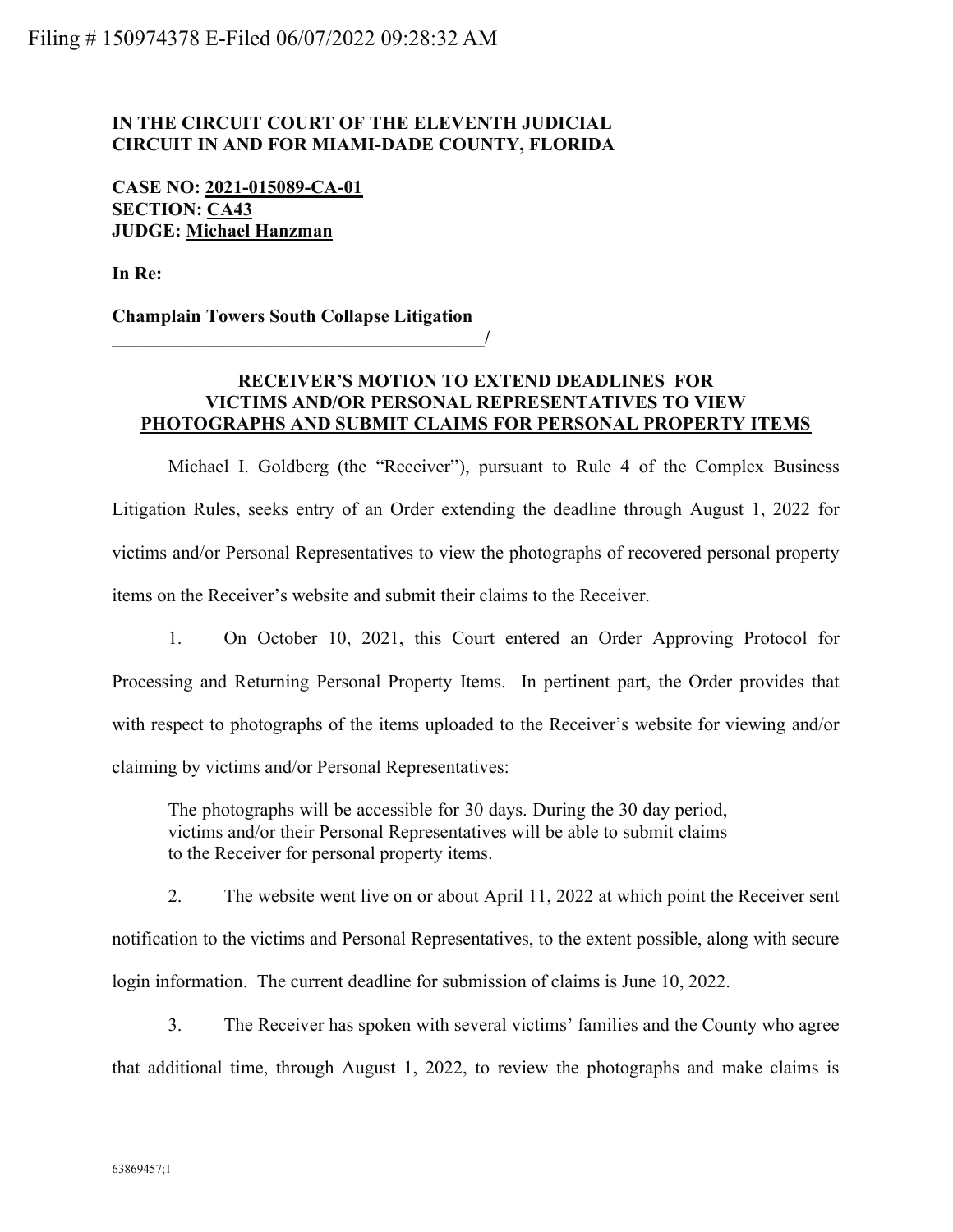## IN THE CIRCUIT COURT OF THE ELEVENTH JUDICIAL CIRCUIT IN AND FOR MIAMI-DADE COUNTY, FLORIDA

## CASE NO: 2021-015089-CA-01 SECTION: CA43 JUDGE: Michael Hanzman

In Re:

Champlain Towers South Collapse Litigation  $\overline{\phantom{a}}$ 

## RECEIVER'S MOTION TO EXTEND DEADLINES FOR VICTIMS AND/OR PERSONAL REPRESENTATIVES TO VIEW PHOTOGRAPHS AND SUBMIT CLAIMS FOR PERSONAL PROPERTY ITEMS

Michael I. Goldberg (the "Receiver"), pursuant to Rule 4 of the Complex Business Litigation Rules, seeks entry of an Order extending the deadline through August 1, 2022 for victims and/or Personal Representatives to view the photographs of recovered personal property items on the Receiver's website and submit their claims to the Receiver.

1. On October 10, 2021, this Court entered an Order Approving Protocol for Processing and Returning Personal Property Items. In pertinent part, the Order provides that with respect to photographs of the items uploaded to the Receiver's website for viewing and/or claiming by victims and/or Personal Representatives:

The photographs will be accessible for 30 days. During the 30 day period, victims and/or their Personal Representatives will be able to submit claims to the Receiver for personal property items.

 2. The website went live on or about April 11, 2022 at which point the Receiver sent notification to the victims and Personal Representatives, to the extent possible, along with secure login information. The current deadline for submission of claims is June 10, 2022.

3. The Receiver has spoken with several victims' families and the County who agree that additional time, through August 1, 2022, to review the photographs and make claims is